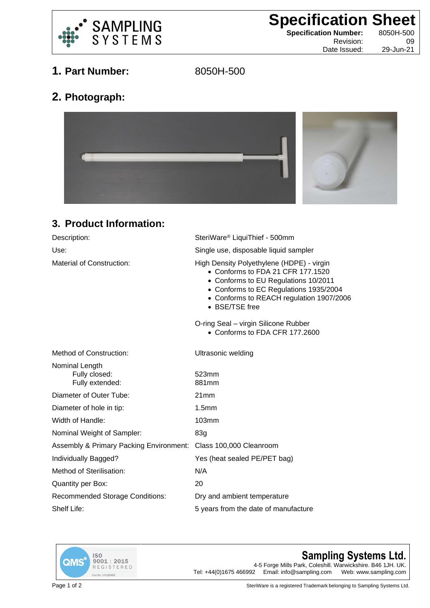

**Specification Sheet**<br>
Specification Number: 8050H-500

**Specification Number:** Date Issued:

Revision: 09<br>te Issued: 29-Jun-21

**1. Part Number:** 8050H-500

**2. Photograph:**



## **3. Product Information:**

| SteriWare <sup>®</sup> LiquiThief - 500mm                                                                                                                                                                                      |
|--------------------------------------------------------------------------------------------------------------------------------------------------------------------------------------------------------------------------------|
| Single use, disposable liquid sampler                                                                                                                                                                                          |
| High Density Polyethylene (HDPE) - virgin<br>• Conforms to FDA 21 CFR 177.1520<br>• Conforms to EU Regulations 10/2011<br>• Conforms to EC Regulations 1935/2004<br>• Conforms to REACH regulation 1907/2006<br>• BSE/TSE free |
| O-ring Seal - virgin Silicone Rubber<br>• Conforms to FDA CFR 177,2600                                                                                                                                                         |
| Ultrasonic welding                                                                                                                                                                                                             |
| 523mm<br>881mm                                                                                                                                                                                                                 |
| 21mm                                                                                                                                                                                                                           |
| 1.5mm                                                                                                                                                                                                                          |
| 103mm                                                                                                                                                                                                                          |
| 83g                                                                                                                                                                                                                            |
| Assembly & Primary Packing Environment:<br>Class 100,000 Cleanroom                                                                                                                                                             |
| Yes (heat sealed PE/PET bag)                                                                                                                                                                                                   |
| N/A                                                                                                                                                                                                                            |
| 20                                                                                                                                                                                                                             |
| Dry and ambient temperature                                                                                                                                                                                                    |
| 5 years from the date of manufacture                                                                                                                                                                                           |
|                                                                                                                                                                                                                                |



## **Sampling Systems Ltd.**

4-5 Forge Mills Park, Coleshill. Warwickshire. B46 1JH. UK.<br>2 Email: info@sampling.com Web: www.sampling.com Tel:  $+44(0)1675466992$  Email: info@sampling.com